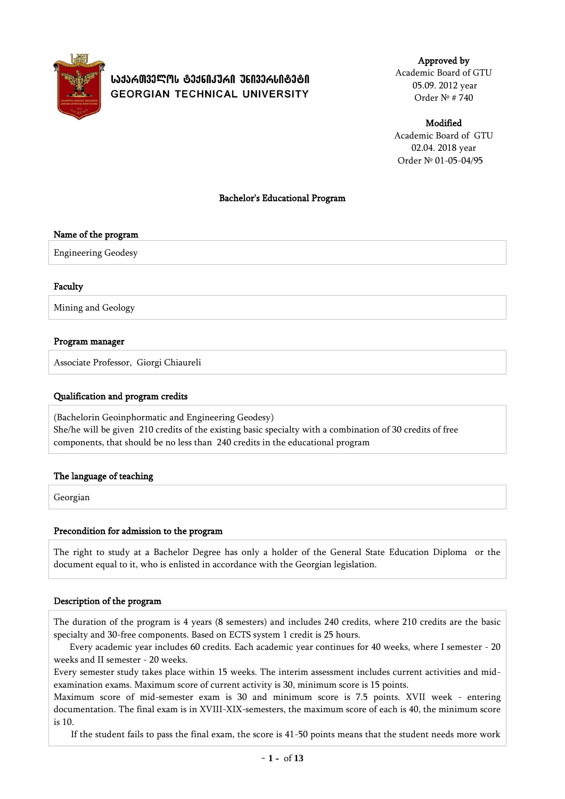

# ᲡᲐᲥᲐᲠᲗᲕᲔᲚᲝᲡ ᲢᲔᲥᲜᲘᲙᲣᲠᲘ ᲣᲜᲘᲕᲔᲠᲡᲘᲢᲔᲢᲘ **GEORGIAN TECHNICAL UNIVERSITY**

Approved by Academic Board of GTU 05.09. 2012 year Order № # 740

Modified

Academic Board of GTU 02.04. 2018 year Order № 01-05-04/95

## Bachelor's Educational Program

#### Name of the program

Engineering Geodesy

#### Faculty

Mining and Geology

## Program manager

Associate Professor, Giorgi Chiaureli

#### Qualification and program credits

(Bachelorin Geoinphormatic and Engineering Geodesy) She/he will be given 210 credits of the existing basic specialty with a combination of 30 credits of free components, that should be no less than 240 credits in the educational program

# The language of teaching

Georgian

#### Precondition for admission to the program

The right to study at a Bachelor Degree has only a holder of the General State Education Diploma or the document equal to it, who is enlisted in accordance with the Georgian legislation.

#### Description of the program

The duration of the program is 4 years (8 semesters) and includes 240 credits, where 210 credits are the basic specialty and 30-free components. Based on ECTS system 1 credit is 25 hours.

Every academic year includes 60 credits. Each academic year continues for 40 weeks, where I semester - 20 weeks and II semester - 20 weeks.

Every semester study takes place within 15 weeks. The interim assessment includes current activities and midexamination exams. Maximum score of current activity is 30, minimum score is 15 points.

Maximum score of mid-semester exam is 30 and minimum score is 7.5 points. XVII week - entering documentation. The final exam is in XVIII-XIX-semesters, the maximum score of each is 40, the minimum score is 10.

If the student fails to pass the final exam, the score is 41-50 points means that the student needs more work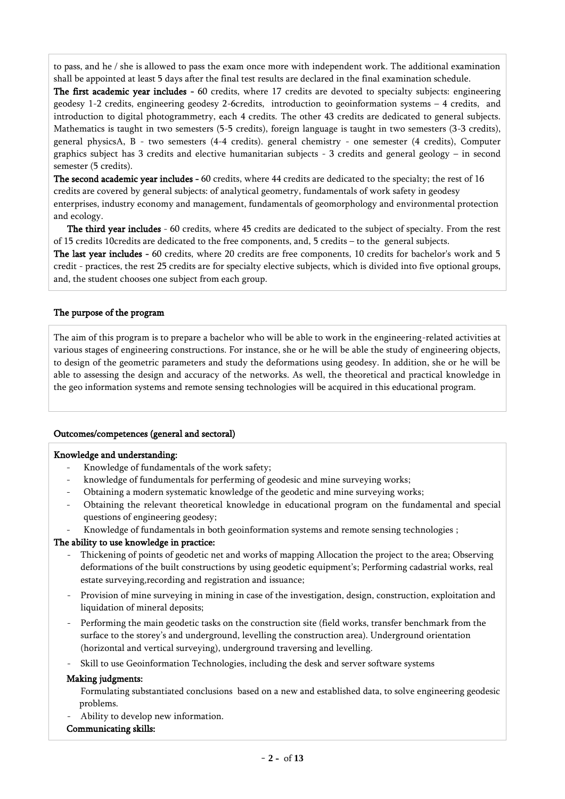to pass, and he / she is allowed to pass the exam once more with independent work. The additional examination shall be appointed at least 5 days after the final test results are declared in the final examination schedule.

The first academic year includes - 60 credits, where 17 credits are devoted to specialty subjects: engineering geodesy 1-2 credits, engineering geodesy 2-6credits, introduction to geoinformation systems – 4 credits, and introduction to digital photogrammetry, each 4 credits. The other 43 credits are dedicated to general subjects. Mathematics is taught in two semesters (5-5 credits), foreign language is taught in two semesters (3-3 credits), general physicsA, B - two semesters (4-4 credits). general chemistry - one semester (4 credits), Computer graphics subject has 3 credits and elective humanitarian subjects - 3 credits and general geology – in second semester (5 credits).

The second academic year includes - 60 credits, where 44 credits are dedicated to the specialty; the rest of 16 credits are covered by general subjects: of analytical geometry, fundamentals of work safety in geodesy enterprises, industry economy and management, fundamentals of geomorphology and environmental protection and ecology.

The third year includes - 60 credits, where 45 credits are dedicated to the subject of specialty. From the rest of 15 credits 10credits are dedicated to the free components, and, 5 credits – to the general subjects.

The last year includes - 60 credits, where 20 credits are free components, 10 credits for bachelor's work and 5 credit - practices, the rest 25 credits are for specialty elective subjects, which is divided into five optional groups, and, the student chooses one subject from each group.

## The purpose of the program

The aim of this program is to prepare a bachelor who will be able to work in the engineering-related activities at various stages of engineering constructions. For instance, she or he will be able the study of engineering objects, to design of the geometric parameters and study the deformations using geodesy. In addition, she or he will be able to assessing the design and accuracy of the networks. As well, the theoretical and practical knowledge in the geo information systems and remote sensing technologies will be acquired in this educational program.

#### Outcomes/competences (general and sectoral)

#### Knowledge and understanding:

- Knowledge of fundamentals of the work safety;
- knowledge of fundumentals for perferming of geodesic and mine surveying works;
- Obtaining a modern systematic knowledge of the geodetic and mine surveying works;
- Obtaining the relevant theoretical knowledge in educational program on the fundamental and special questions of engineering geodesy;
- Knowledge of fundamentals in both geoinformation systems and remote sensing technologies ;

# The ability to use knowledge in practice:

- Thickening of points of geodetic net and works of mapping Allocation the project to the area; Observing deformations of the built constructions by using geodetic equipment's; Performing cadastrial works, real estate surveying,recording and registration and issuance;
- Provision of mine surveying in mining in case of the investigation, design, construction, exploitation and liquidation of mineral deposits;
- Performing the main geodetic tasks on the construction site (field works, transfer benchmark from the surface to the storey's and underground, levelling the construction area). Underground orientation (horizontal and vertical surveying), underground traversing and levelling.
- Skill to use Geoinformation Technologies, including the desk and server software systems

#### Making judgments:

Formulating substantiated conclusions based on a new and established data, to solve engineering geodesic problems.

Ability to develop new information.

# Communicating skills: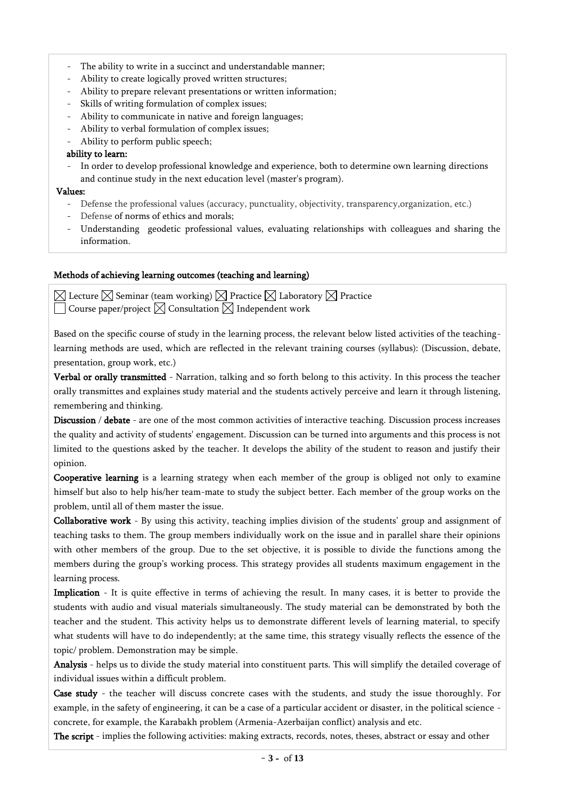- The ability to write in a succinct and understandable manner;
- Ability to create logically proved written structures;
- Ability to prepare relevant presentations or written information;
- Skills of writing formulation of complex issues;
- Ability to communicate in native and foreign languages;
- Ability to verbal formulation of complex issues;
- Ability to perform public speech;

# ability to learn:

- In order to develop professional knowledge and experience, both to determine own learning directions and continue study in the next education level (master's program).

# Values:

- Defense the professional values (accuracy, punctuality, objectivity, transparency,organization, etc.)
- Defense of norms of ethics and morals;
- Understanding geodetic professional values, evaluating relationships with colleagues and sharing the information.

# Methods of achieving learning outcomes (teaching and learning)

 $\boxtimes$  Lecture  $\boxtimes$  Seminar (team working)  $\boxtimes$  Practice  $\boxtimes$  Laboratory  $\boxtimes$  Practice Course paper/project  $\boxtimes$  Consultation  $\boxtimes$  Independent work

Based on the specific course of study in the learning process, the relevant below listed activities of the teachinglearning methods are used, which are reflected in the relevant training courses (syllabus): (Discussion, debate, presentation, group work, etc.)

Verbal or orally transmitted - Narration, talking and so forth belong to this activity. In this process the teacher orally transmittes and explaines study material and the students actively perceive and learn it through listening, remembering and thinking.

Discussion / debate - are one of the most common activities of interactive teaching. Discussion process increases the quality and activity of students' engagement. Discussion can be turned into arguments and this process is not limited to the questions asked by the teacher. It develops the ability of the student to reason and justify their opinion.

Cooperative learning is a learning strategy when each member of the group is obliged not only to examine himself but also to help his/her team-mate to study the subject better. Each member of the group works on the problem, until all of them master the issue.

Collaborative work - By using this activity, teaching implies division of the students' group and assignment of teaching tasks to them. The group members individually work on the issue and in parallel share their opinions with other members of the group. Due to the set objective, it is possible to divide the functions among the members during the group's working process. This strategy provides all students maximum engagement in the learning process.

Implication - It is quite effective in terms of achieving the result. In many cases, it is better to provide the students with audio and visual materials simultaneously. The study material can be demonstrated by both the teacher and the student. This activity helps us to demonstrate different levels of learning material, to specify what students will have to do independently; at the same time, this strategy visually reflects the essence of the topic/ problem. Demonstration may be simple.

Analysis - helps us to divide the study material into constituent parts. This will simplify the detailed coverage of individual issues within a difficult problem.

Case study - the teacher will discuss concrete cases with the students, and study the issue thoroughly. For example, in the safety of engineering, it can be a case of a particular accident or disaster, in the political science concrete, for example, the Karabakh problem (Armenia-Azerbaijan conflict) analysis and etc.

The script - implies the following activities: making extracts, records, notes, theses, abstract or essay and other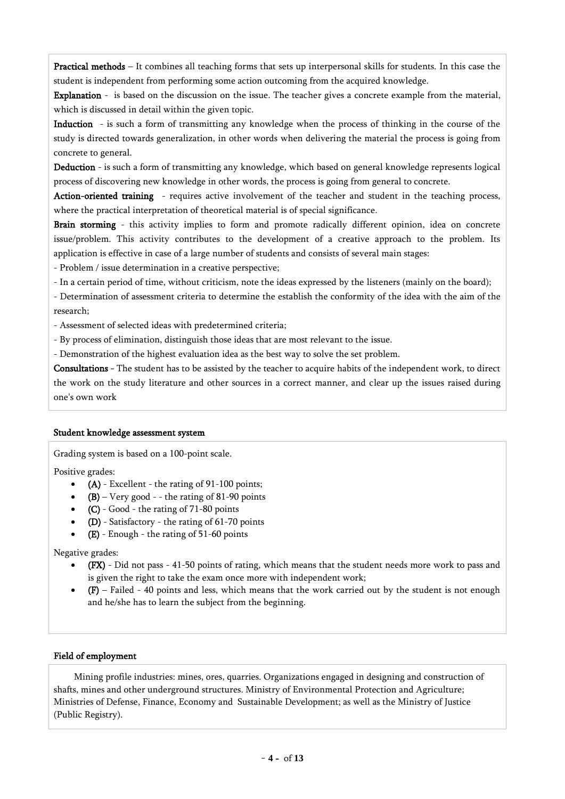Practical methods – It combines all teaching forms that sets up interpersonal skills for students. In this case the student is independent from performing some action outcoming from the acquired knowledge.

Explanation - is based on the discussion on the issue. The teacher gives a concrete example from the material, which is discussed in detail within the given topic.

Induction - is such a form of transmitting any knowledge when the process of thinking in the course of the study is directed towards generalization, in other words when delivering the material the process is going from concrete to general.

Deduction - is such a form of transmitting any knowledge, which based on general knowledge represents logical process of discovering new knowledge in other words, the process is going from general to concrete.

Action-oriented training - requires active involvement of the teacher and student in the teaching process, where the practical interpretation of theoretical material is of special significance.

Brain storming - this activity implies to form and promote radically different opinion, idea on concrete issue/problem. This activity contributes to the development of a creative approach to the problem. Its application is effective in case of a large number of students and consists of several main stages:

- Problem / issue determination in a creative perspective;

- In a certain period of time, without criticism, note the ideas expressed by the listeners (mainly on the board);

- Determination of assessment criteria to determine the establish the conformity of the idea with the aim of the research;

- Assessment of selected ideas with predetermined criteria;

- By process of elimination, distinguish those ideas that are most relevant to the issue.

- Demonstration of the highest evaluation idea as the best way to solve the set problem.

Consultations - The student has to be assisted by the teacher to acquire habits of the independent work, to direct the work on the study literature and other sources in a correct manner, and clear up the issues raised during one's own work

#### Student knowledge assessment system

Grading system is based on a 100-point scale.

Positive grades:

- (A) Excellent the rating of 91-100 points;
- $(B)$  Very good - the rating of 81-90 points
- (C) Good the rating of 71-80 points
- (D) Satisfactory the rating of 61-70 points
- (E) Enough the rating of 51-60 points

Negative grades:

- (FX) Did not pass 41-50 points of rating, which means that the student needs more work to pass and is given the right to take the exam once more with independent work;
- (F) Failed 40 points and less, which means that the work carried out by the student is not enough and he/she has to learn the subject from the beginning.

#### Field of employment

Mining profile industries: mines, ores, quarries. Organizations engaged in designing and construction of shafts, mines and other underground structures. Ministry of Environmental Protection and Agriculture; Ministries of Defense, Finance, Economy and Sustainable Development; as well as the Ministry of Justice (Public Registry).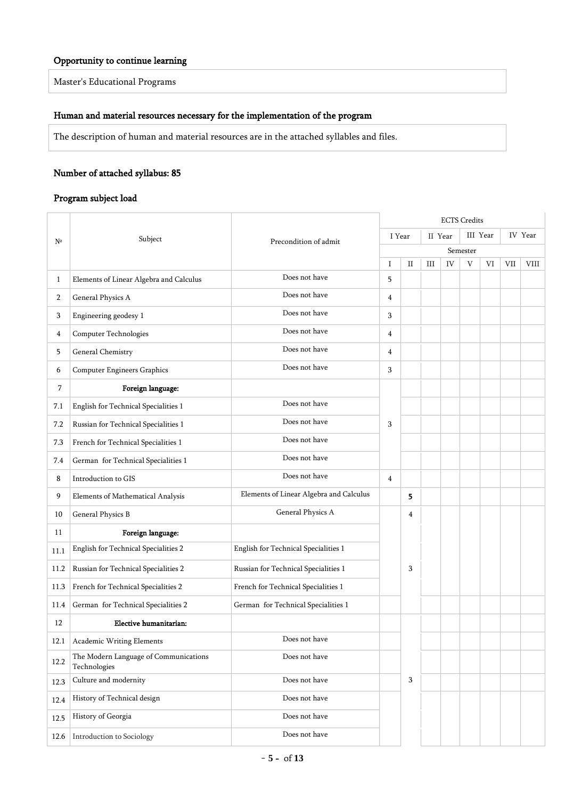# Opportunity to continue learning

Master's Educational Programs

# Human and material resources necessary for the implementation of the program

The description of human and material resources are in the attached syllables and files.

# Number of attached syllabus: 85

## Program subject load

|      |                                                       |                                         |        |             | <b>ECTS</b> Credits |    |          |    |     |             |  |  |  |
|------|-------------------------------------------------------|-----------------------------------------|--------|-------------|---------------------|----|----------|----|-----|-------------|--|--|--|
| Nº   | Subject                                               | Precondition of admit                   | I Year |             | II Year             |    | III Year |    |     | IV Year     |  |  |  |
|      |                                                       |                                         |        |             | Semester            |    |          |    |     |             |  |  |  |
|      |                                                       |                                         | I      | $_{\rm II}$ | Ш                   | IV | V        | VI | VII | <b>VIII</b> |  |  |  |
| 1    | Elements of Linear Algebra and Calculus               | Does not have                           | 5      |             |                     |    |          |    |     |             |  |  |  |
| 2    | General Physics A                                     | Does not have                           | 4      |             |                     |    |          |    |     |             |  |  |  |
| 3    | Engineering geodesy 1                                 | Does not have                           | 3      |             |                     |    |          |    |     |             |  |  |  |
| 4    | Computer Technologies                                 | Does not have                           | 4      |             |                     |    |          |    |     |             |  |  |  |
| 5    | General Chemistry                                     | Does not have                           | 4      |             |                     |    |          |    |     |             |  |  |  |
| 6    | <b>Computer Engineers Graphics</b>                    | Does not have                           | 3      |             |                     |    |          |    |     |             |  |  |  |
| 7    | Foreign language:                                     |                                         |        |             |                     |    |          |    |     |             |  |  |  |
| 7.1  | English for Technical Specialities 1                  | Does not have                           |        |             |                     |    |          |    |     |             |  |  |  |
| 7.2  | Russian for Technical Specialities 1                  | Does not have                           | 3      |             |                     |    |          |    |     |             |  |  |  |
| 7.3  | French for Technical Specialities 1                   | Does not have                           |        |             |                     |    |          |    |     |             |  |  |  |
| 7.4  | German for Technical Specialities 1                   | Does not have                           |        |             |                     |    |          |    |     |             |  |  |  |
| 8    | Introduction to GIS                                   | Does not have                           | 4      |             |                     |    |          |    |     |             |  |  |  |
| 9    | Elements of Mathematical Analysis                     | Elements of Linear Algebra and Calculus |        | 5           |                     |    |          |    |     |             |  |  |  |
| 10   | General Physics B                                     | General Physics A                       |        | 4           |                     |    |          |    |     |             |  |  |  |
| 11   | Foreign language:                                     |                                         |        |             |                     |    |          |    |     |             |  |  |  |
| 11.1 | English for Technical Specialities 2                  | English for Technical Specialities 1    |        |             |                     |    |          |    |     |             |  |  |  |
| 11.2 | Russian for Technical Specialities 2                  | Russian for Technical Specialities 1    |        | 3           |                     |    |          |    |     |             |  |  |  |
| 11.3 | French for Technical Specialities 2                   | French for Technical Specialities 1     |        |             |                     |    |          |    |     |             |  |  |  |
| 11.4 | German for Technical Specialities 2                   | German for Technical Specialities 1     |        |             |                     |    |          |    |     |             |  |  |  |
| 12   | Elective humanitarian:                                |                                         |        |             |                     |    |          |    |     |             |  |  |  |
| 12.1 | Academic Writing Elements                             | Does not have                           |        |             |                     |    |          |    |     |             |  |  |  |
| 12.2 | The Modern Language of Communications<br>Technologies | Does not have                           |        |             |                     |    |          |    |     |             |  |  |  |
| 12.3 | Culture and modernity                                 | Does not have                           |        | 3           |                     |    |          |    |     |             |  |  |  |
| 12.4 | History of Technical design                           | Does not have                           |        |             |                     |    |          |    |     |             |  |  |  |
| 12.5 | History of Georgia                                    | Does not have                           |        |             |                     |    |          |    |     |             |  |  |  |
| 12.6 | Introduction to Sociology                             | Does not have                           |        |             |                     |    |          |    |     |             |  |  |  |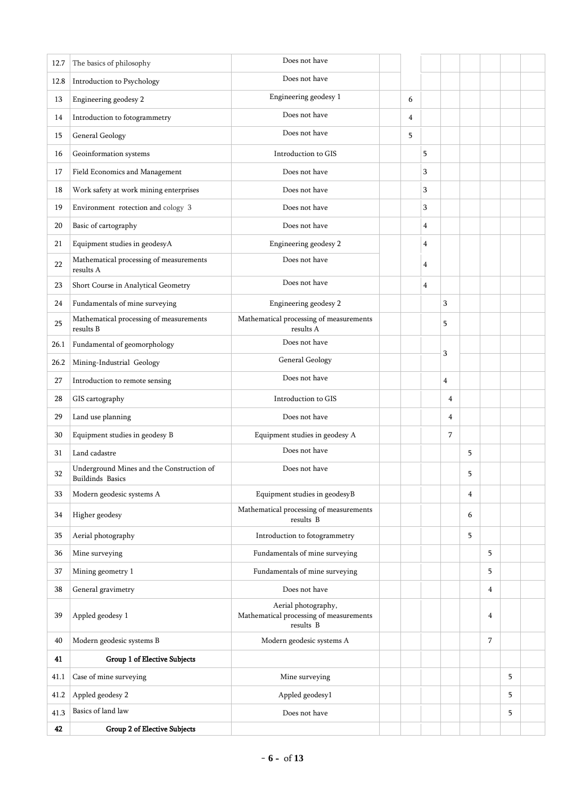| 12.7 | Does not have<br>The basics of philosophy                            |                                                                             |   |   |   |   |   |   |  |
|------|----------------------------------------------------------------------|-----------------------------------------------------------------------------|---|---|---|---|---|---|--|
| 12.8 | Introduction to Psychology                                           | Does not have                                                               |   |   |   |   |   |   |  |
| 13   | Engineering geodesy 2                                                | Engineering geodesy 1                                                       | 6 |   |   |   |   |   |  |
| 14   | Introduction to fotogrammetry                                        | Does not have                                                               | 4 |   |   |   |   |   |  |
| 15   | General Geology                                                      | Does not have                                                               | 5 |   |   |   |   |   |  |
| 16   | Geoinformation systems                                               | Introduction to GIS                                                         |   | 5 |   |   |   |   |  |
| 17   | Field Economics and Management                                       | Does not have                                                               |   | 3 |   |   |   |   |  |
| 18   | Work safety at work mining enterprises                               | Does not have                                                               |   | 3 |   |   |   |   |  |
| 19   | Environment rotection and cology 3                                   | Does not have                                                               |   | 3 |   |   |   |   |  |
| 20   | Basic of cartography                                                 | Does not have                                                               |   | 4 |   |   |   |   |  |
| 21   | Equipment studies in geodesyA                                        | Engineering geodesy 2                                                       |   | 4 |   |   |   |   |  |
| 22   | Mathematical processing of measurements<br>results A                 | Does not have                                                               |   | 4 |   |   |   |   |  |
| 23   | Short Course in Analytical Geometry                                  | Does not have                                                               |   | 4 |   |   |   |   |  |
| 24   | Fundamentals of mine surveying                                       | Engineering geodesy 2                                                       |   |   | 3 |   |   |   |  |
| 25   | Mathematical processing of measurements<br>results B                 | Mathematical processing of measurements<br>results A                        |   |   | 5 |   |   |   |  |
| 26.1 | Fundamental of geomorphology                                         | Does not have                                                               |   |   | 3 |   |   |   |  |
| 26.2 | Mining-Industrial Geology                                            | General Geology                                                             |   |   |   |   |   |   |  |
| 27   | Introduction to remote sensing                                       | Does not have                                                               |   |   | 4 |   |   |   |  |
| 28   | GIS cartography                                                      | Introduction to GIS                                                         |   |   | 4 |   |   |   |  |
| 29   | Land use planning                                                    | Does not have                                                               |   |   | 4 |   |   |   |  |
| 30   | Equipment studies in geodesy B                                       | Equipment studies in geodesy A                                              |   |   | 7 |   |   |   |  |
| 31   | Land cadastre                                                        | Does not have                                                               |   |   |   | 5 |   |   |  |
| 32   | Underground Mines and the Construction of<br><b>Buildinds Basics</b> | Does not have                                                               |   |   |   | 5 |   |   |  |
| 33   | Modern geodesic systems A                                            | Equipment studies in geodesyB                                               |   |   |   | 4 |   |   |  |
| 34   | Higher geodesy                                                       | Mathematical processing of measurements<br>results B                        |   |   |   | 6 |   |   |  |
| 35   | Aerial photography                                                   | Introduction to fotogrammetry                                               |   |   |   | 5 |   |   |  |
| 36   | Mine surveying                                                       | Fundamentals of mine surveying                                              |   |   |   |   | 5 |   |  |
| 37   | Mining geometry 1                                                    | Fundamentals of mine surveying                                              |   |   |   |   | 5 |   |  |
| 38   | General gravimetry                                                   | Does not have                                                               |   |   |   |   | 4 |   |  |
| 39   | Appled geodesy 1                                                     | Aerial photography,<br>Mathematical processing of measurements<br>results B |   |   |   |   | 4 |   |  |
| 40   | Modern geodesic systems B                                            | Modern geodesic systems A                                                   |   |   |   |   | 7 |   |  |
| 41   | Group 1 of Elective Subjects                                         |                                                                             |   |   |   |   |   |   |  |
| 41.1 | Case of mine surveying                                               | Mine surveying                                                              |   |   |   |   |   | 5 |  |
| 41.2 | Appled geodesy 2                                                     | Appled geodesy1                                                             |   |   |   |   |   | 5 |  |
| 41.3 | Basics of land law                                                   | Does not have                                                               |   |   |   |   |   | 5 |  |
| 42   | Group 2 of Elective Subjects                                         |                                                                             |   |   |   |   |   |   |  |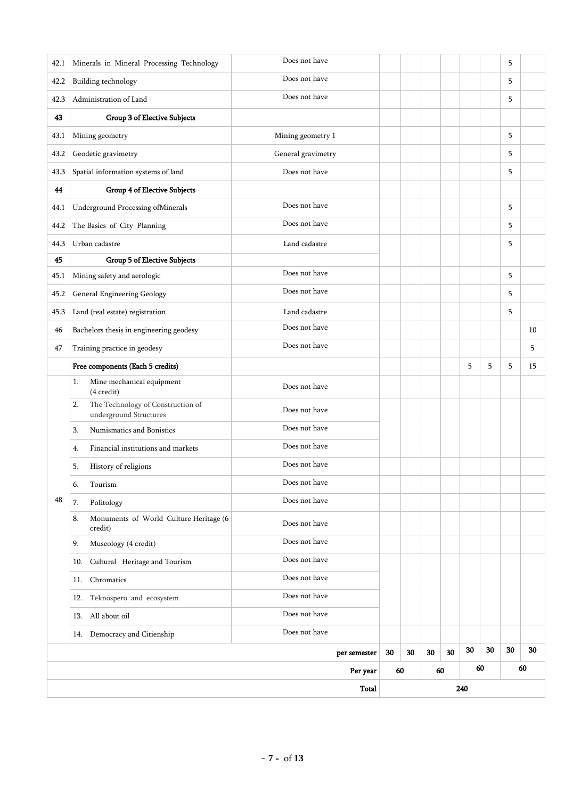| 42.1 | Minerals in Mineral Processing Technology                         | Does not have      |    |    |    |    |     |    | 5  |    |
|------|-------------------------------------------------------------------|--------------------|----|----|----|----|-----|----|----|----|
| 42.2 | Building technology                                               | Does not have      |    |    |    |    |     |    | 5  |    |
| 42.3 | Administration of Land                                            | Does not have      |    |    |    |    |     |    | 5  |    |
| 43   | Group 3 of Elective Subjects                                      |                    |    |    |    |    |     |    |    |    |
| 43.1 | Mining geometry                                                   | Mining geometry 1  |    |    |    |    |     |    | 5  |    |
| 43.2 | Geodetic gravimetry                                               | General gravimetry |    |    |    |    |     |    | 5  |    |
| 43.3 | Spatial information systems of land                               | Does not have      |    |    |    |    |     |    | 5  |    |
| 44   | Group 4 of Elective Subjects                                      |                    |    |    |    |    |     |    |    |    |
| 44.1 | Underground Processing ofMinerals                                 | Does not have      |    |    |    |    |     |    | 5  |    |
| 44.2 | The Basics of City Planning                                       | Does not have      |    |    |    |    |     |    | 5  |    |
| 44.3 | Urban cadastre                                                    | Land cadastre      |    |    |    |    |     |    | 5  |    |
| 45   | Group 5 of Elective Subjects                                      |                    |    |    |    |    |     |    |    |    |
| 45.1 | Mining safety and aerologic                                       | Does not have      |    |    |    |    |     |    | 5  |    |
| 45.2 | General Engineering Geology                                       | Does not have      |    |    |    |    |     |    | 5  |    |
| 45.3 | Land (real estate) registration                                   | Land cadastre      |    |    |    |    |     |    | 5  |    |
| 46   | Bachelors thesis in engineering geodesy                           | Does not have      |    |    |    |    |     |    |    | 10 |
| 47   | Training practice in geodesy                                      | Does not have      |    |    |    |    |     |    |    | 5  |
|      | Free components (Each 5 credits)                                  |                    |    |    |    |    | 5   | 5  | 5  | 15 |
|      | Mine mechanical equipment<br>1.<br>(4 credit)                     | Does not have      |    |    |    |    |     |    |    |    |
|      | The Technology of Construction of<br>2.<br>underground Structures | Does not have      |    |    |    |    |     |    |    |    |
|      | Numismatics and Bonistics<br>3.                                   | Does not have      |    |    |    |    |     |    |    |    |
|      | Financial institutions and markets<br>4.                          | Does not have      |    |    |    |    |     |    |    |    |
|      | 5.<br>History of religions                                        | Does not have      |    |    |    |    |     |    |    |    |
|      | Tourism<br>6.                                                     | Does not have      |    |    |    |    |     |    |    |    |
| 48   | Politology<br>7.                                                  | Does not have      |    |    |    |    |     |    |    |    |
|      | Monuments of World Culture Heritage (6<br>8.<br>credit)           | Does not have      |    |    |    |    |     |    |    |    |
|      | Museology (4 credit)<br>9.                                        | Does not have      |    |    |    |    |     |    |    |    |
|      | Cultural Heritage and Tourism<br>10.                              | Does not have      |    |    |    |    |     |    |    |    |
|      | Chromatics<br>11.                                                 | Does not have      |    |    |    |    |     |    |    |    |
|      | 12. Teknospero and ecosystem                                      | Does not have      |    |    |    |    |     |    |    |    |
|      | 13. All about oil                                                 | Does not have      |    |    |    |    |     |    |    |    |
|      | 14. Democracy and Citienship                                      | Does not have      |    |    |    |    |     |    |    |    |
|      |                                                                   | per semester       | 30 | 30 | 30 | 30 | 30  | 30 | 30 | 30 |
|      | Per year                                                          |                    |    |    | 60 |    | 60  |    |    | 60 |
|      | Total                                                             |                    |    |    |    |    | 240 |    |    |    |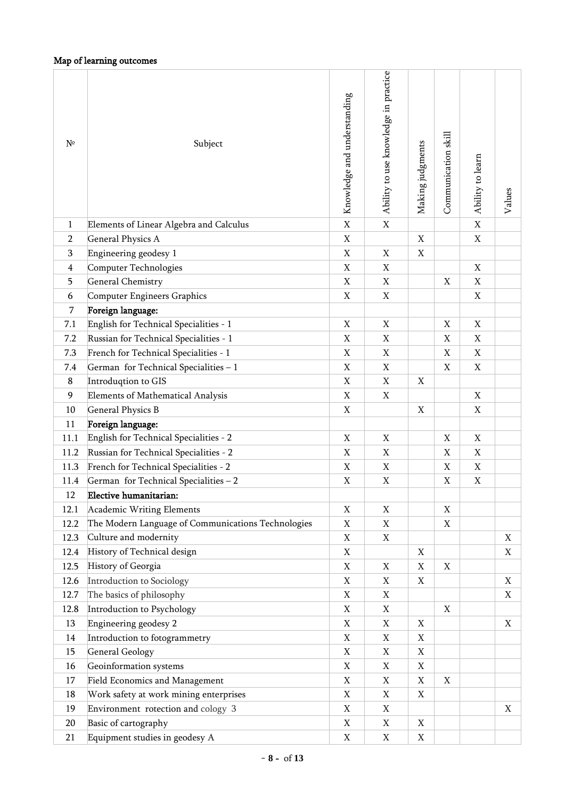# Map of learning outcomes

| $\mathbf X$<br>$\mathbf X$<br>$\mathbf X$<br>Elements of Linear Algebra and Calculus<br>$\mathbf{1}$<br>$\overline{2}$<br><b>General Physics A</b><br>X<br>X<br>X<br>Engineering geodesy 1<br>3<br>X<br>X<br>X<br>Computer Technologies<br>$\mathbf X$<br>X<br>$\overline{4}$<br>X<br><b>General Chemistry</b><br>X<br>$\mathbf X$<br>$\mathbf X$<br>5<br>X<br>Computer Engineers Graphics<br>X<br>X<br>X<br>6<br>7<br>Foreign language:<br>English for Technical Specialities - 1<br>7.1<br>X<br>X<br>X<br>X<br>Russian for Technical Specialities - 1<br>$\mathbf X$<br>7.2<br>X<br>X<br>X<br>French for Technical Specialities - 1<br>7.3<br>X<br>X<br>X<br>X<br>7.4<br>German for Technical Specialities - 1<br>X<br>X<br>X<br>X<br>Introduqtion to GIS<br>$\mathbf X$<br>8<br>X<br>X<br>9<br><b>Elements of Mathematical Analysis</b><br>X<br>X<br>X<br><b>General Physics B</b><br>X<br>10<br>X<br>X<br>Foreign language:<br>11<br>English for Technical Specialities - 2<br>11.1<br>X<br>X<br>X<br>X<br>Russian for Technical Specialities - 2<br>11.2<br>X<br>X<br>X<br>X<br>French for Technical Specialities - 2<br>11.3<br>X<br>X<br>X<br>X<br>$\mathbf X$<br>$\mathbf X$<br>German for Technical Specialities - 2<br>X<br>X<br>11.4<br>$12\,$<br>Elective humanitarian:<br>12.1<br>Academic Writing Elements<br>X<br>X<br>X<br>The Modern Language of Communications Technologies<br>12.2<br>X<br>X<br>X<br>Culture and modernity<br>12.3<br>$\mathbf X$<br>X<br>X<br>History of Technical design<br>12.4<br>X<br>X<br>X<br>History of Georgia<br>12.5<br>X<br>X<br>X<br>X<br>Introduction to Sociology<br>12.6<br>X<br>X<br>X<br>X<br>The basics of philosophy<br>$\mathbf X$<br>12.7<br>X<br>X<br>12.8<br>Introduction to Psychology<br>X<br>X<br>X<br>Engineering geodesy 2<br>13<br>X<br>X<br>X<br>X<br>Introduction to fotogrammetry<br>$\mathbf X$<br>14<br>X<br>X<br><b>General Geology</b><br>$\mathbf X$<br>15<br>X<br>X<br>Geoinformation systems<br>$\mathbf X$<br>X<br>X<br>16<br>Field Economics and Management<br>17<br>X<br>X<br>X<br>X<br>Work safety at work mining enterprises<br>$\mathbf X$<br>18<br>X<br>X<br>Environment rotection and cology 3<br>$\mathbf X$<br>X<br>19<br>X<br>Basic of cartography<br>20<br>X<br>X<br>X<br>Equipment studies in geodesy A<br>21<br>X<br>X<br>X | $N^{\circ}$ | Subject | Knowledge and understanding | Ability to use knowledge in practice | Making judgments | Communication skill | Ability to learn | Values |
|----------------------------------------------------------------------------------------------------------------------------------------------------------------------------------------------------------------------------------------------------------------------------------------------------------------------------------------------------------------------------------------------------------------------------------------------------------------------------------------------------------------------------------------------------------------------------------------------------------------------------------------------------------------------------------------------------------------------------------------------------------------------------------------------------------------------------------------------------------------------------------------------------------------------------------------------------------------------------------------------------------------------------------------------------------------------------------------------------------------------------------------------------------------------------------------------------------------------------------------------------------------------------------------------------------------------------------------------------------------------------------------------------------------------------------------------------------------------------------------------------------------------------------------------------------------------------------------------------------------------------------------------------------------------------------------------------------------------------------------------------------------------------------------------------------------------------------------------------------------------------------------------------------------------------------------------------------------------------------------------------------------------------------------------------------------------------------------------------------------------------------------------------------------------------------------------------------------------------------------------------------------------------------------------------------------------|-------------|---------|-----------------------------|--------------------------------------|------------------|---------------------|------------------|--------|
|                                                                                                                                                                                                                                                                                                                                                                                                                                                                                                                                                                                                                                                                                                                                                                                                                                                                                                                                                                                                                                                                                                                                                                                                                                                                                                                                                                                                                                                                                                                                                                                                                                                                                                                                                                                                                                                                                                                                                                                                                                                                                                                                                                                                                                                                                                                      |             |         |                             |                                      |                  |                     |                  |        |
|                                                                                                                                                                                                                                                                                                                                                                                                                                                                                                                                                                                                                                                                                                                                                                                                                                                                                                                                                                                                                                                                                                                                                                                                                                                                                                                                                                                                                                                                                                                                                                                                                                                                                                                                                                                                                                                                                                                                                                                                                                                                                                                                                                                                                                                                                                                      |             |         |                             |                                      |                  |                     |                  |        |
|                                                                                                                                                                                                                                                                                                                                                                                                                                                                                                                                                                                                                                                                                                                                                                                                                                                                                                                                                                                                                                                                                                                                                                                                                                                                                                                                                                                                                                                                                                                                                                                                                                                                                                                                                                                                                                                                                                                                                                                                                                                                                                                                                                                                                                                                                                                      |             |         |                             |                                      |                  |                     |                  |        |
|                                                                                                                                                                                                                                                                                                                                                                                                                                                                                                                                                                                                                                                                                                                                                                                                                                                                                                                                                                                                                                                                                                                                                                                                                                                                                                                                                                                                                                                                                                                                                                                                                                                                                                                                                                                                                                                                                                                                                                                                                                                                                                                                                                                                                                                                                                                      |             |         |                             |                                      |                  |                     |                  |        |
|                                                                                                                                                                                                                                                                                                                                                                                                                                                                                                                                                                                                                                                                                                                                                                                                                                                                                                                                                                                                                                                                                                                                                                                                                                                                                                                                                                                                                                                                                                                                                                                                                                                                                                                                                                                                                                                                                                                                                                                                                                                                                                                                                                                                                                                                                                                      |             |         |                             |                                      |                  |                     |                  |        |
|                                                                                                                                                                                                                                                                                                                                                                                                                                                                                                                                                                                                                                                                                                                                                                                                                                                                                                                                                                                                                                                                                                                                                                                                                                                                                                                                                                                                                                                                                                                                                                                                                                                                                                                                                                                                                                                                                                                                                                                                                                                                                                                                                                                                                                                                                                                      |             |         |                             |                                      |                  |                     |                  |        |
|                                                                                                                                                                                                                                                                                                                                                                                                                                                                                                                                                                                                                                                                                                                                                                                                                                                                                                                                                                                                                                                                                                                                                                                                                                                                                                                                                                                                                                                                                                                                                                                                                                                                                                                                                                                                                                                                                                                                                                                                                                                                                                                                                                                                                                                                                                                      |             |         |                             |                                      |                  |                     |                  |        |
|                                                                                                                                                                                                                                                                                                                                                                                                                                                                                                                                                                                                                                                                                                                                                                                                                                                                                                                                                                                                                                                                                                                                                                                                                                                                                                                                                                                                                                                                                                                                                                                                                                                                                                                                                                                                                                                                                                                                                                                                                                                                                                                                                                                                                                                                                                                      |             |         |                             |                                      |                  |                     |                  |        |
|                                                                                                                                                                                                                                                                                                                                                                                                                                                                                                                                                                                                                                                                                                                                                                                                                                                                                                                                                                                                                                                                                                                                                                                                                                                                                                                                                                                                                                                                                                                                                                                                                                                                                                                                                                                                                                                                                                                                                                                                                                                                                                                                                                                                                                                                                                                      |             |         |                             |                                      |                  |                     |                  |        |
|                                                                                                                                                                                                                                                                                                                                                                                                                                                                                                                                                                                                                                                                                                                                                                                                                                                                                                                                                                                                                                                                                                                                                                                                                                                                                                                                                                                                                                                                                                                                                                                                                                                                                                                                                                                                                                                                                                                                                                                                                                                                                                                                                                                                                                                                                                                      |             |         |                             |                                      |                  |                     |                  |        |
|                                                                                                                                                                                                                                                                                                                                                                                                                                                                                                                                                                                                                                                                                                                                                                                                                                                                                                                                                                                                                                                                                                                                                                                                                                                                                                                                                                                                                                                                                                                                                                                                                                                                                                                                                                                                                                                                                                                                                                                                                                                                                                                                                                                                                                                                                                                      |             |         |                             |                                      |                  |                     |                  |        |
|                                                                                                                                                                                                                                                                                                                                                                                                                                                                                                                                                                                                                                                                                                                                                                                                                                                                                                                                                                                                                                                                                                                                                                                                                                                                                                                                                                                                                                                                                                                                                                                                                                                                                                                                                                                                                                                                                                                                                                                                                                                                                                                                                                                                                                                                                                                      |             |         |                             |                                      |                  |                     |                  |        |
|                                                                                                                                                                                                                                                                                                                                                                                                                                                                                                                                                                                                                                                                                                                                                                                                                                                                                                                                                                                                                                                                                                                                                                                                                                                                                                                                                                                                                                                                                                                                                                                                                                                                                                                                                                                                                                                                                                                                                                                                                                                                                                                                                                                                                                                                                                                      |             |         |                             |                                      |                  |                     |                  |        |
|                                                                                                                                                                                                                                                                                                                                                                                                                                                                                                                                                                                                                                                                                                                                                                                                                                                                                                                                                                                                                                                                                                                                                                                                                                                                                                                                                                                                                                                                                                                                                                                                                                                                                                                                                                                                                                                                                                                                                                                                                                                                                                                                                                                                                                                                                                                      |             |         |                             |                                      |                  |                     |                  |        |
|                                                                                                                                                                                                                                                                                                                                                                                                                                                                                                                                                                                                                                                                                                                                                                                                                                                                                                                                                                                                                                                                                                                                                                                                                                                                                                                                                                                                                                                                                                                                                                                                                                                                                                                                                                                                                                                                                                                                                                                                                                                                                                                                                                                                                                                                                                                      |             |         |                             |                                      |                  |                     |                  |        |
|                                                                                                                                                                                                                                                                                                                                                                                                                                                                                                                                                                                                                                                                                                                                                                                                                                                                                                                                                                                                                                                                                                                                                                                                                                                                                                                                                                                                                                                                                                                                                                                                                                                                                                                                                                                                                                                                                                                                                                                                                                                                                                                                                                                                                                                                                                                      |             |         |                             |                                      |                  |                     |                  |        |
|                                                                                                                                                                                                                                                                                                                                                                                                                                                                                                                                                                                                                                                                                                                                                                                                                                                                                                                                                                                                                                                                                                                                                                                                                                                                                                                                                                                                                                                                                                                                                                                                                                                                                                                                                                                                                                                                                                                                                                                                                                                                                                                                                                                                                                                                                                                      |             |         |                             |                                      |                  |                     |                  |        |
|                                                                                                                                                                                                                                                                                                                                                                                                                                                                                                                                                                                                                                                                                                                                                                                                                                                                                                                                                                                                                                                                                                                                                                                                                                                                                                                                                                                                                                                                                                                                                                                                                                                                                                                                                                                                                                                                                                                                                                                                                                                                                                                                                                                                                                                                                                                      |             |         |                             |                                      |                  |                     |                  |        |
|                                                                                                                                                                                                                                                                                                                                                                                                                                                                                                                                                                                                                                                                                                                                                                                                                                                                                                                                                                                                                                                                                                                                                                                                                                                                                                                                                                                                                                                                                                                                                                                                                                                                                                                                                                                                                                                                                                                                                                                                                                                                                                                                                                                                                                                                                                                      |             |         |                             |                                      |                  |                     |                  |        |
|                                                                                                                                                                                                                                                                                                                                                                                                                                                                                                                                                                                                                                                                                                                                                                                                                                                                                                                                                                                                                                                                                                                                                                                                                                                                                                                                                                                                                                                                                                                                                                                                                                                                                                                                                                                                                                                                                                                                                                                                                                                                                                                                                                                                                                                                                                                      |             |         |                             |                                      |                  |                     |                  |        |
|                                                                                                                                                                                                                                                                                                                                                                                                                                                                                                                                                                                                                                                                                                                                                                                                                                                                                                                                                                                                                                                                                                                                                                                                                                                                                                                                                                                                                                                                                                                                                                                                                                                                                                                                                                                                                                                                                                                                                                                                                                                                                                                                                                                                                                                                                                                      |             |         |                             |                                      |                  |                     |                  |        |
|                                                                                                                                                                                                                                                                                                                                                                                                                                                                                                                                                                                                                                                                                                                                                                                                                                                                                                                                                                                                                                                                                                                                                                                                                                                                                                                                                                                                                                                                                                                                                                                                                                                                                                                                                                                                                                                                                                                                                                                                                                                                                                                                                                                                                                                                                                                      |             |         |                             |                                      |                  |                     |                  |        |
|                                                                                                                                                                                                                                                                                                                                                                                                                                                                                                                                                                                                                                                                                                                                                                                                                                                                                                                                                                                                                                                                                                                                                                                                                                                                                                                                                                                                                                                                                                                                                                                                                                                                                                                                                                                                                                                                                                                                                                                                                                                                                                                                                                                                                                                                                                                      |             |         |                             |                                      |                  |                     |                  |        |
|                                                                                                                                                                                                                                                                                                                                                                                                                                                                                                                                                                                                                                                                                                                                                                                                                                                                                                                                                                                                                                                                                                                                                                                                                                                                                                                                                                                                                                                                                                                                                                                                                                                                                                                                                                                                                                                                                                                                                                                                                                                                                                                                                                                                                                                                                                                      |             |         |                             |                                      |                  |                     |                  |        |
|                                                                                                                                                                                                                                                                                                                                                                                                                                                                                                                                                                                                                                                                                                                                                                                                                                                                                                                                                                                                                                                                                                                                                                                                                                                                                                                                                                                                                                                                                                                                                                                                                                                                                                                                                                                                                                                                                                                                                                                                                                                                                                                                                                                                                                                                                                                      |             |         |                             |                                      |                  |                     |                  |        |
|                                                                                                                                                                                                                                                                                                                                                                                                                                                                                                                                                                                                                                                                                                                                                                                                                                                                                                                                                                                                                                                                                                                                                                                                                                                                                                                                                                                                                                                                                                                                                                                                                                                                                                                                                                                                                                                                                                                                                                                                                                                                                                                                                                                                                                                                                                                      |             |         |                             |                                      |                  |                     |                  |        |
|                                                                                                                                                                                                                                                                                                                                                                                                                                                                                                                                                                                                                                                                                                                                                                                                                                                                                                                                                                                                                                                                                                                                                                                                                                                                                                                                                                                                                                                                                                                                                                                                                                                                                                                                                                                                                                                                                                                                                                                                                                                                                                                                                                                                                                                                                                                      |             |         |                             |                                      |                  |                     |                  |        |
|                                                                                                                                                                                                                                                                                                                                                                                                                                                                                                                                                                                                                                                                                                                                                                                                                                                                                                                                                                                                                                                                                                                                                                                                                                                                                                                                                                                                                                                                                                                                                                                                                                                                                                                                                                                                                                                                                                                                                                                                                                                                                                                                                                                                                                                                                                                      |             |         |                             |                                      |                  |                     |                  |        |
|                                                                                                                                                                                                                                                                                                                                                                                                                                                                                                                                                                                                                                                                                                                                                                                                                                                                                                                                                                                                                                                                                                                                                                                                                                                                                                                                                                                                                                                                                                                                                                                                                                                                                                                                                                                                                                                                                                                                                                                                                                                                                                                                                                                                                                                                                                                      |             |         |                             |                                      |                  |                     |                  |        |
|                                                                                                                                                                                                                                                                                                                                                                                                                                                                                                                                                                                                                                                                                                                                                                                                                                                                                                                                                                                                                                                                                                                                                                                                                                                                                                                                                                                                                                                                                                                                                                                                                                                                                                                                                                                                                                                                                                                                                                                                                                                                                                                                                                                                                                                                                                                      |             |         |                             |                                      |                  |                     |                  |        |
|                                                                                                                                                                                                                                                                                                                                                                                                                                                                                                                                                                                                                                                                                                                                                                                                                                                                                                                                                                                                                                                                                                                                                                                                                                                                                                                                                                                                                                                                                                                                                                                                                                                                                                                                                                                                                                                                                                                                                                                                                                                                                                                                                                                                                                                                                                                      |             |         |                             |                                      |                  |                     |                  |        |
|                                                                                                                                                                                                                                                                                                                                                                                                                                                                                                                                                                                                                                                                                                                                                                                                                                                                                                                                                                                                                                                                                                                                                                                                                                                                                                                                                                                                                                                                                                                                                                                                                                                                                                                                                                                                                                                                                                                                                                                                                                                                                                                                                                                                                                                                                                                      |             |         |                             |                                      |                  |                     |                  |        |
|                                                                                                                                                                                                                                                                                                                                                                                                                                                                                                                                                                                                                                                                                                                                                                                                                                                                                                                                                                                                                                                                                                                                                                                                                                                                                                                                                                                                                                                                                                                                                                                                                                                                                                                                                                                                                                                                                                                                                                                                                                                                                                                                                                                                                                                                                                                      |             |         |                             |                                      |                  |                     |                  |        |
|                                                                                                                                                                                                                                                                                                                                                                                                                                                                                                                                                                                                                                                                                                                                                                                                                                                                                                                                                                                                                                                                                                                                                                                                                                                                                                                                                                                                                                                                                                                                                                                                                                                                                                                                                                                                                                                                                                                                                                                                                                                                                                                                                                                                                                                                                                                      |             |         |                             |                                      |                  |                     |                  |        |
|                                                                                                                                                                                                                                                                                                                                                                                                                                                                                                                                                                                                                                                                                                                                                                                                                                                                                                                                                                                                                                                                                                                                                                                                                                                                                                                                                                                                                                                                                                                                                                                                                                                                                                                                                                                                                                                                                                                                                                                                                                                                                                                                                                                                                                                                                                                      |             |         |                             |                                      |                  |                     |                  |        |
|                                                                                                                                                                                                                                                                                                                                                                                                                                                                                                                                                                                                                                                                                                                                                                                                                                                                                                                                                                                                                                                                                                                                                                                                                                                                                                                                                                                                                                                                                                                                                                                                                                                                                                                                                                                                                                                                                                                                                                                                                                                                                                                                                                                                                                                                                                                      |             |         |                             |                                      |                  |                     |                  |        |
|                                                                                                                                                                                                                                                                                                                                                                                                                                                                                                                                                                                                                                                                                                                                                                                                                                                                                                                                                                                                                                                                                                                                                                                                                                                                                                                                                                                                                                                                                                                                                                                                                                                                                                                                                                                                                                                                                                                                                                                                                                                                                                                                                                                                                                                                                                                      |             |         |                             |                                      |                  |                     |                  |        |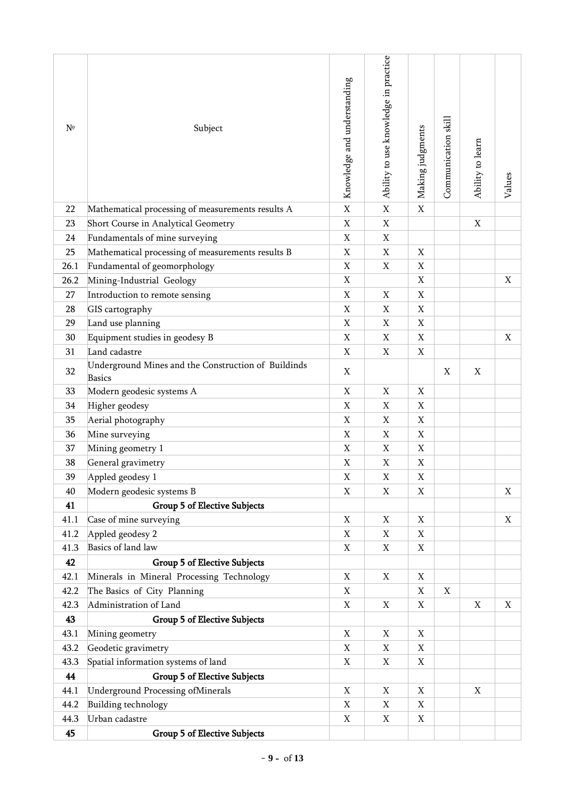| $N^{\circ}$ | Subject                                                              | Knowledge and understanding | Ability to use knowledge in practice | Making judgments | Communication skill | Ability to learn | Values      |
|-------------|----------------------------------------------------------------------|-----------------------------|--------------------------------------|------------------|---------------------|------------------|-------------|
| 22          | Mathematical processing of measurements results A                    | $\mathbf X$                 | $\mathbf X$                          | $\mathbf X$      |                     |                  |             |
| 23          | Short Course in Analytical Geometry                                  | $\mathbf X$                 | $\mathbf X$                          |                  |                     | X                |             |
| 24          | Fundamentals of mine surveying                                       | $\mathbf X$                 | $\mathbf X$                          |                  |                     |                  |             |
| 25          | Mathematical processing of measurements results B                    | X                           | X                                    | $\mathbf X$      |                     |                  |             |
| 26.1        | Fundamental of geomorphology                                         | X                           | X                                    | X                |                     |                  |             |
| 26.2        | Mining-Industrial Geology                                            | $\mathbf X$                 |                                      | $\mathbf X$      |                     |                  | $\mathbf X$ |
| 27          | Introduction to remote sensing                                       | $\mathbf X$                 | $\mathbf X$                          | $\mathbf X$      |                     |                  |             |
| 28          | GIS cartography                                                      | $\mathbf X$                 | X                                    | $\mathbf X$      |                     |                  |             |
| 29          | Land use planning                                                    | X                           | X                                    | X                |                     |                  |             |
| 30          | Equipment studies in geodesy B                                       | X                           | X                                    | X                |                     |                  | X           |
| 31          | Land cadastre                                                        | $\mathbf X$                 | $\mathbf X$                          | $\mathbf X$      |                     |                  |             |
| 32          | Underground Mines and the Construction of Buildinds<br><b>Basics</b> | X                           |                                      |                  | X                   | X                |             |
| 33          | Modern geodesic systems A                                            | X                           | X                                    | X                |                     |                  |             |
| 34          | Higher geodesy                                                       | X                           | X                                    | X                |                     |                  |             |
| 35          | Aerial photography                                                   | X                           | X                                    | $\mathbf X$      |                     |                  |             |
| 36          | Mine surveying                                                       | X                           | X                                    | $\mathbf X$      |                     |                  |             |
| 37          | Mining geometry 1                                                    | X                           | X                                    | X                |                     |                  |             |
| 38          | General gravimetry                                                   | X                           | X                                    | X                |                     |                  |             |
| 39          | Appled geodesy 1                                                     | X                           | $\mathbf X$                          | $\mathbf X$      |                     |                  |             |
| 40          | Modern geodesic systems B                                            | X                           | X                                    | X                |                     |                  | $\mathbf X$ |
| 41          | Group 5 of Elective Subjects                                         |                             |                                      |                  |                     |                  |             |
| 41.1        | Case of mine surveying                                               | X                           | Χ                                    | X                |                     |                  | X           |
| 41.2        | Appled geodesy 2                                                     | X                           | X                                    | X                |                     |                  |             |
| 41.3        | Basics of land law                                                   | X                           | X                                    | X                |                     |                  |             |
| 42          | <b>Group 5 of Elective Subjects</b>                                  |                             |                                      |                  |                     |                  |             |
| 42.1        | Minerals in Mineral Processing Technology                            | X                           | X                                    | X                |                     |                  |             |
| 42.2        | The Basics of City Planning                                          | X                           |                                      | X                | X                   |                  |             |
| 42.3        | Administration of Land                                               | X                           | X                                    | $\mathbf X$      |                     | X                | X           |
| 43          | <b>Group 5 of Elective Subjects</b>                                  |                             |                                      |                  |                     |                  |             |
| 43.1        | Mining geometry                                                      | X                           | Χ                                    | X                |                     |                  |             |
| 43.2        | Geodetic gravimetry                                                  | X                           | Χ                                    | X                |                     |                  |             |
| 43.3        | Spatial information systems of land                                  | X                           | X                                    | X                |                     |                  |             |
| 44          | <b>Group 5 of Elective Subjects</b>                                  |                             |                                      |                  |                     |                  |             |
| 44.1        | Underground Processing ofMinerals                                    | X                           | X                                    | X                |                     | X                |             |
| 44.2        | <b>Building technology</b>                                           | X                           | X                                    | X                |                     |                  |             |
| 44.3        | Urban cadastre                                                       | X                           | X                                    | X                |                     |                  |             |
| 45          | <b>Group 5 of Elective Subjects</b>                                  |                             |                                      |                  |                     |                  |             |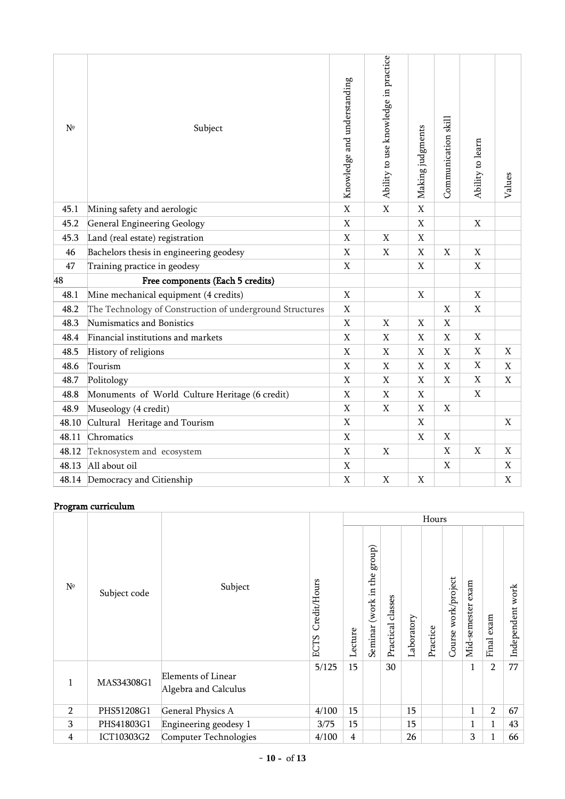| N <sup>o</sup> | Subject                                                  | Knowledge and understanding | Ability to use knowledge in practice | Making judgments | Communication skill | Ability to learn | Values      |
|----------------|----------------------------------------------------------|-----------------------------|--------------------------------------|------------------|---------------------|------------------|-------------|
| 45.1           | Mining safety and aerologic                              | $\overline{X}$              | $\overline{X}$                       | $\mathbf X$      |                     |                  |             |
| 45.2           | General Engineering Geology                              | $\mathbf X$                 |                                      | $\mathbf X$      |                     | $\mathbf X$      |             |
| 45.3           | Land (real estate) registration                          | $\mathbf X$                 | $\mathbf X$                          | $\mathbf X$      |                     |                  |             |
| 46             | Bachelors thesis in engineering geodesy                  | $\mathbf X$                 | X                                    | $\mathbf X$      | X                   | X                |             |
| 47             | Training practice in geodesy                             | $\mathbf X$                 |                                      | $\mathbf X$      |                     | $\mathbf X$      |             |
| 48             | Free components (Each 5 credits)                         |                             |                                      |                  |                     |                  |             |
| 48.1           | Mine mechanical equipment (4 credits)                    | $\mathbf X$                 |                                      | $\mathbf X$      |                     | $\mathbf X$      |             |
| 48.2           | The Technology of Construction of underground Structures | $\mathbf X$                 |                                      |                  | X                   | X                |             |
| 48.3           | Numismatics and Bonistics                                | $\mathbf X$                 | $\mathbf X$                          | $\mathbf X$      | $\mathbf X$         |                  |             |
| 48.4           | Financial institutions and markets                       | $\mathbf X$                 | $\mathbf X$                          | $\mathbf X$      | $\mathbf X$         | $\mathbf X$      |             |
| 48.5           | History of religions                                     | X                           | X                                    | X                | X                   | $\mathbf X$      | $\mathbf X$ |
| 48.6           | Tourism                                                  | $\mathbf X$                 | $\mathbf X$                          | $\mathbf X$      | $\mathbf X$         | $\mathbf X$      | $\mathbf X$ |
| 48.7           | Politology                                               | X                           | X                                    | X                | X                   | $\mathbf X$      | X           |
| 48.8           | Monuments of World Culture Heritage (6 credit)           | $\mathbf X$                 | $\mathbf X$                          | $\mathbf X$      |                     | $\mathbf X$      |             |
| 48.9           | Museology (4 credit)                                     | $\mathbf X$                 | $\overline{X}$                       | $\mathbf X$      | $\mathbf X$         |                  |             |
| 48.10          | Cultural Heritage and Tourism                            | $\mathbf X$                 |                                      | $\mathbf X$      |                     |                  | $\mathbf X$ |
| 48.11          | Chromatics                                               | $\mathbf X$                 |                                      | X                | $\mathbf X$         |                  |             |
| 48.12          | Teknosystem and ecosystem                                | X                           | X                                    |                  | X                   | X                | X           |
| 48.13          | All about oil                                            | $\mathbf X$                 |                                      |                  | X                   |                  | $\mathbf X$ |
|                | 48.14 Democracy and Citienship                           | $\mathbf X$                 | X                                    | X                |                     |                  | X           |

# Program curriculum

|                |              |                                                   |                             | Hours   |                                   |                      |            |          |                        |                      |                |                     |
|----------------|--------------|---------------------------------------------------|-----------------------------|---------|-----------------------------------|----------------------|------------|----------|------------------------|----------------------|----------------|---------------------|
| $N^{\circ}$    | Subject code | Subject                                           | Credit/Hours<br><b>ECTS</b> | Lecture | group)<br>(work in the<br>Seminar | classes<br>Practical | Laboratory | Practice | work/project<br>Course | exam<br>Mid-semester | exam<br>Final  | work<br>Independent |
| $\mathbf{1}$   | MAS34308G1   | <b>Elements of Linear</b><br>Algebra and Calculus | 5/125                       | 15      |                                   | 30                   |            |          |                        | 1                    | 2              | 77                  |
| $\overline{2}$ | PHS51208G1   | General Physics A                                 | 4/100                       | 15      |                                   |                      | 15         |          |                        | $\mathbf{1}$         | $\overline{2}$ | 67                  |
| 3              | PHS41803G1   | Engineering geodesy 1                             | 3/75                        | 15      |                                   |                      | 15         |          |                        | 1                    | $\mathbf{1}$   | 43                  |
| 4              | ICT10303G2   | Computer Technologies                             | 4/100                       | 4       |                                   |                      | 26         |          |                        | 3                    |                | 66                  |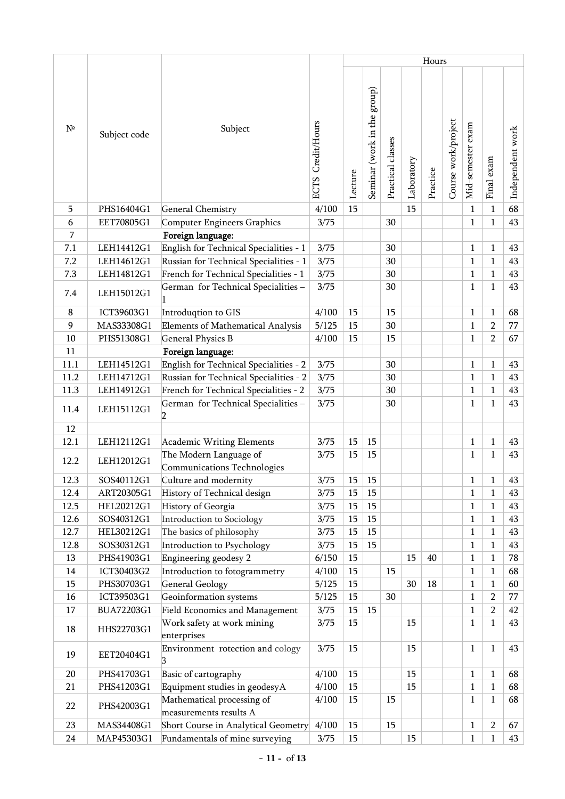|             |              |                                                       |                      |         |                             |                   |            | Hours    |                     |                   |                |                  |
|-------------|--------------|-------------------------------------------------------|----------------------|---------|-----------------------------|-------------------|------------|----------|---------------------|-------------------|----------------|------------------|
| $N^{\circ}$ | Subject code | Subject                                               | Credit/Hours<br>ECTS | Lecture | Seminar (work in the group) | Practical classes | Laboratory | Practice | Course work/project | Mid-semester exam | Final exam     | Independent work |
| 5           | PHS16404G1   | General Chemistry                                     | 4/100                | 15      |                             |                   | 15         |          |                     | $\mathbf{1}$      | $\mathbf{1}$   | 68               |
| 6           | EET70805G1   | Computer Engineers Graphics                           | 3/75                 |         |                             | 30                |            |          |                     | $\mathbf{1}$      | $\mathbf{1}$   | 43               |
| 7           |              | Foreign language:                                     |                      |         |                             |                   |            |          |                     |                   |                |                  |
| 7.1         | LEH14412G1   | English for Technical Specialities - 1                | 3/75                 |         |                             | 30                |            |          |                     | $\mathbf{1}$      | $\mathbf{1}$   | 43               |
| 7.2         | LEH14612G1   | Russian for Technical Specialities - 1                | 3/75                 |         |                             | 30                |            |          |                     | $\mathbf{1}$      | $\mathbf{1}$   | 43               |
| 7.3         | LEH14812G1   | French for Technical Specialities - 1                 | 3/75                 |         |                             | 30                |            |          |                     | $\mathbf{1}$      | $\mathbf{1}$   | 43               |
| 7.4         | LEH15012G1   | German for Technical Specialities -                   | 3/75                 |         |                             | 30                |            |          |                     | $\mathbf{1}$      | $\mathbf{1}$   | 43               |
| 8           | ICT39603G1   | Introduqtion to GIS                                   | 4/100                | 15      |                             | 15                |            |          |                     | $\mathbf{1}$      | 1              | 68               |
| 9           | MAS33308G1   | <b>Elements of Mathematical Analysis</b>              | 5/125                | 15      |                             | 30                |            |          |                     | $\mathbf{1}$      | $\overline{2}$ | 77               |
| 10          | PHS51308G1   | <b>General Physics B</b>                              | 4/100                | 15      |                             | 15                |            |          |                     | $\mathbf{1}$      | $\overline{2}$ | 67               |
| 11          |              | Foreign language:                                     |                      |         |                             |                   |            |          |                     |                   |                |                  |
| 11.1        | LEH14512G1   | English for Technical Specialities - 2                | 3/75                 |         |                             | 30                |            |          |                     | $\mathbf{1}$      | $\mathbf{1}$   | 43               |
| 11.2        | LEH14712G1   | Russian for Technical Specialities - 2                | 3/75                 |         |                             | 30                |            |          |                     | $\mathbf{1}$      | $\mathbf{1}$   | 43               |
| 11.3        | LEH14912G1   | French for Technical Specialities - 2                 | 3/75                 |         |                             | 30                |            |          |                     | $\mathbf{1}$      | $\mathbf{1}$   | 43               |
| 11.4        | LEH15112G1   | German for Technical Specialities -<br>2              | 3/75                 |         |                             | 30                |            |          |                     | $\mathbf{1}$      | $\mathbf{1}$   | 43               |
| 12          |              |                                                       |                      |         |                             |                   |            |          |                     |                   |                |                  |
| 12.1        | LEH12112G1   | Academic Writing Elements                             | 3/75                 | 15      | 15                          |                   |            |          |                     | $\mathbf{1}$      | $\mathbf{1}$   | 43               |
| 12.2        | LEH12012G1   | The Modern Language of<br>Communications Technologies | 3/75                 | 15      | 15                          |                   |            |          |                     | $\mathbf{1}$      | $\mathbf{1}$   | 43               |
| 12.3        | SOS40112G1   | Culture and modernity                                 | 3/75                 | 15      | 15                          |                   |            |          |                     | $\,1$             | $\mathbf{1}$   | 43               |
| 12.4        | ART20305G1   | History of Technical design                           | 3/75                 | 15      | 15                          |                   |            |          |                     | $\mathbf{1}$      | $\mathbf{1}$   | 43               |
| 12.5        | HEL20212G1   | History of Georgia                                    | 3/75                 | 15      | 15                          |                   |            |          |                     | $\mathbf{1}$      | 1              | 43               |
| 12.6        | SOS40312G1   | Introduction to Sociology                             | 3/75                 | 15      | 15                          |                   |            |          |                     | $\mathbf{1}$      | $\mathbf{1}$   | 43               |
| 12.7        | HEL30212G1   | The basics of philosophy                              | 3/75                 | 15      | 15                          |                   |            |          |                     | $\mathbf{1}$      | $\mathbf{1}$   | 43               |
| 12.8        | SOS30312G1   | Introduction to Psychology                            | 3/75                 | 15      | 15                          |                   |            |          |                     | $\mathbf{1}$      | $\mathbf{1}$   | 43               |
| 13          | PHS41903G1   | Engineering geodesy 2                                 | 6/150                | 15      |                             |                   | 15         | 40       |                     | $\mathbf{1}$      | $\mathbf{1}$   | 78               |
| 14          | ICT30403G2   | Introduction to fotogrammetry                         | 4/100                | 15      |                             | 15                |            |          |                     | $\mathbf{1}$      | $\mathbf{1}$   | 68               |
| 15          | PHS30703G1   | <b>General Geology</b>                                | 5/125                | 15      |                             |                   | 30         | 18       |                     | $\mathbf{1}$      | $\mathbf{1}$   | 60               |
| 16          | ICT39503G1   | Geoinformation systems                                | 5/125                | 15      |                             | 30                |            |          |                     | $\mathbf{1}$      | $\overline{2}$ | 77               |
| 17          | BUA72203G1   | Field Economics and Management                        | 3/75                 | 15      | 15                          |                   |            |          |                     | $\mathbf{1}$      | $\overline{2}$ | 42               |
| 18          | HHS22703G1   | Work safety at work mining<br>enterprises             | 3/75                 | 15      |                             |                   | 15         |          |                     | $\mathbf{1}$      | $\mathbf{1}$   | 43               |
| 19          | EET20404G1   | Environment rotection and cology                      | 3/75                 | 15      |                             |                   | 15         |          |                     | $\mathbf{1}$      | $\mathbf{1}$   | 43               |
| 20          | PHS41703G1   | Basic of cartography                                  | 4/100                | 15      |                             |                   | 15         |          |                     | $\mathbf{1}$      | $\mathbf{1}$   | 68               |
| 21          | PHS41203G1   | Equipment studies in geodesyA                         | 4/100                | 15      |                             |                   | 15         |          |                     | $\mathbf{1}$      | $\mathbf{1}$   | 68               |
| 22          | PHS42003G1   | Mathematical processing of<br>measurements results A  | 4/100                | 15      |                             | 15                |            |          |                     | 1                 | 1              | 68               |
| 23          | MAS34408G1   | Short Course in Analytical Geometry                   | 4/100                | 15      |                             | 15                |            |          |                     | $\mathbf{1}$      | $\overline{2}$ | 67               |
| 24          | MAP45303G1   | Fundamentals of mine surveying                        | 3/75                 | 15      |                             |                   | 15         |          |                     | 1                 | $\mathbf{1}$   | 43               |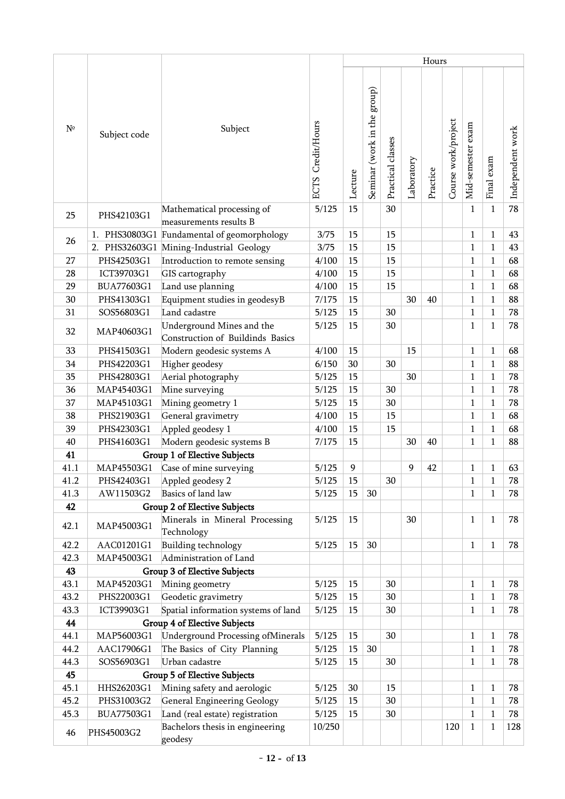|             |              |                                                                                       |                             |          | Hours                       |                   |            |          |                     |                              |                              |                  |
|-------------|--------------|---------------------------------------------------------------------------------------|-----------------------------|----------|-----------------------------|-------------------|------------|----------|---------------------|------------------------------|------------------------------|------------------|
| $N^{\circ}$ | Subject code | Subject                                                                               | Credit/Hours<br><b>ECTS</b> | Lecture  | Seminar (work in the group) | Practical classes | Laboratory | Practice | Course work/project | Mid-semester exam            | Final exam                   | Independent work |
| 25          | PHS42103G1   | Mathematical processing of<br>measurements results B                                  | 5/125                       | 15       |                             | 30                |            |          |                     | $\mathbf{1}$                 | $\mathbf{1}$                 | 78               |
| 26          |              | 1. PHS30803G1 Fundamental of geomorphology<br>2. PHS32603G1 Mining-Industrial Geology | 3/75<br>3/75                | 15<br>15 |                             | 15<br>15          |            |          |                     | $\mathbf{1}$<br>$\mathbf{1}$ | $\mathbf{1}$<br>$\mathbf{1}$ | 43<br>43         |
| 27          | PHS42503G1   | Introduction to remote sensing                                                        | 4/100                       | 15       |                             | 15                |            |          |                     | $\mathbf{1}$                 | $\mathbf{1}$                 | 68               |
| 28          | ICT39703G1   | GIS cartography                                                                       | 4/100                       | 15       |                             | 15                |            |          |                     | $\mathbf{1}$                 | $\mathbf{1}$                 | 68               |
| 29          | BUA77603G1   | Land use planning                                                                     | 4/100                       | 15       |                             | 15                |            |          |                     | $\mathbf{1}$                 | $\mathbf{1}$                 | 68               |
| 30          | PHS41303G1   | Equipment studies in geodesyB                                                         |                             | 15       |                             |                   | 30         | 40       |                     | $\mathbf{1}$                 | $\mathbf{1}$                 | 88               |
|             |              |                                                                                       | 7/175                       |          |                             |                   |            |          |                     |                              |                              |                  |
| 31          | SOS56803G1   | Land cadastre                                                                         | 5/125                       | 15       |                             | 30                |            |          |                     | $\mathbf{1}$                 | $\mathbf{1}$                 | 78               |
| 32          | MAP40603G1   | Underground Mines and the<br>Construction of Buildinds Basics                         | 5/125                       | 15       |                             | 30                |            |          |                     | $\mathbf{1}$                 | $\mathbf{1}$                 | 78               |
| 33          | PHS41503G1   | Modern geodesic systems A                                                             | 4/100                       | 15       |                             |                   | 15         |          |                     | $\mathbf{1}$                 | $\mathbf{1}$                 | 68               |
| 34          | PHS42203G1   | Higher geodesy                                                                        | 6/150                       | 30       |                             | 30                |            |          |                     | $\mathbf{1}$                 | $\mathbf{1}$                 | 88               |
| 35          | PHS42803G1   | Aerial photography                                                                    | 5/125                       | 15       |                             |                   | 30         |          |                     | $\mathbf{1}$                 | $\mathbf{1}$                 | 78               |
| 36          | MAP45403G1   | Mine surveying                                                                        | 5/125                       | 15       |                             | 30                |            |          |                     | $\mathbf{1}$                 | $\mathbf{1}$                 | 78               |
| 37          | MAP45103G1   | Mining geometry 1                                                                     | 5/125                       | 15       |                             | 30                |            |          |                     | $\mathbf{1}$                 | $\mathbf{1}$                 | 78               |
| 38          | PHS21903G1   | General gravimetry                                                                    | 4/100                       | 15       |                             | 15                |            |          |                     | $\mathbf{1}$                 | $\mathbf{1}$                 | 68               |
| 39          | PHS42303G1   | Appled geodesy 1                                                                      | 4/100                       | 15       |                             | 15                |            |          |                     | $\mathbf{1}$                 | $\mathbf{1}$                 | 68               |
| 40          | PHS41603G1   | Modern geodesic systems B                                                             | 7/175                       | 15       |                             |                   | 30         | 40       |                     | $\mathbf{1}$                 | $\mathbf{1}$                 | 88               |
| 41          |              | Group 1 of Elective Subjects                                                          |                             |          |                             |                   |            |          |                     |                              |                              |                  |
| 41.1        | MAP45503G1   | Case of mine surveying                                                                | 5/125                       | 9        |                             |                   | 9          | 42       |                     | $\mathbf{1}$                 | $\mathbf{1}$                 | 63               |
| 41.2        | PHS42403G1   | Appled geodesy 2                                                                      | 5/125                       | 15       |                             | 30                |            |          |                     | $\,1$                        | $\mathbf 1$                  | 78               |
| 41.3        | AW11503G2    | Basics of land law                                                                    | 5/125                       | 15       | 30                          |                   |            |          |                     | $\mathbf{1}$                 | $\mathbf{1}$                 | 78               |
| 42          |              | <b>Group 2 of Elective Subjects</b>                                                   |                             |          |                             |                   |            |          |                     |                              |                              |                  |
| 42.1        | MAP45003G1   | Minerals in Mineral Processing<br>Technology                                          | 5/125                       | 15       |                             |                   | 30         |          |                     | $\mathbf{1}$                 | 1                            | 78               |
| 42.2        | AAC01201G1   | Building technology                                                                   | 5/125                       | 15       | 30                          |                   |            |          |                     | $\mathbf{1}$                 | 1                            | 78               |
| 42.3        | MAP45003G1   | Administration of Land                                                                |                             |          |                             |                   |            |          |                     |                              |                              |                  |
| 43          |              | Group 3 of Elective Subjects                                                          |                             |          |                             |                   |            |          |                     |                              |                              |                  |
| 43.1        | MAP45203G1   | Mining geometry                                                                       | 5/125                       | 15       |                             | 30                |            |          |                     | $\mathbf{1}$                 | $\mathbf{1}$                 | 78               |
| 43.2        | PHS22003G1   | Geodetic gravimetry                                                                   | 5/125                       | 15       |                             | 30                |            |          |                     | $\mathbf{1}$                 | $\mathbf{1}$                 | 78               |
| 43.3        | ICT39903G1   | Spatial information systems of land                                                   | 5/125                       | 15       |                             | 30                |            |          |                     | $\mathbf{1}$                 | 1                            | 78               |
| 44          |              | Group 4 of Elective Subjects                                                          |                             |          |                             |                   |            |          |                     |                              |                              |                  |
| 44.1        | MAP56003G1   | <b>Underground Processing ofMinerals</b>                                              | 5/125                       | 15       |                             | 30                |            |          |                     | $\mathbf{1}$                 | 1                            | 78               |
| 44.2        | AAC17906G1   | The Basics of City Planning                                                           | 5/125                       | 15       | 30                          |                   |            |          |                     | $\mathbf{1}$                 | 1                            | 78               |
| 44.3        | SOS56903G1   | Urban cadastre                                                                        | 5/125                       | 15       |                             | 30                |            |          |                     | $\mathbf{1}$                 | $\mathbf{1}$                 | 78               |
| 45          |              | <b>Group 5 of Elective Subjects</b>                                                   |                             |          |                             |                   |            |          |                     |                              |                              |                  |
| 45.1        | HHS26203G1   | Mining safety and aerologic                                                           | 5/125                       | 30       |                             | 15                |            |          |                     | $\mathbf{1}$                 | $\mathbf{1}$                 | 78               |
| 45.2        | PHS31003G2   | General Engineering Geology                                                           | 5/125                       | 15       |                             | 30                |            |          |                     | $\mathbf{1}$                 | $\mathbf{1}$                 | 78               |
| 45.3        | BUA77503G1   | Land (real estate) registration                                                       | 5/125                       | 15       |                             | 30                |            |          |                     | $\mathbf{1}$                 | $\mathbf{1}$                 | 78               |
| 46          | PHS45003G2   | Bachelors thesis in engineering<br>geodesy                                            | 10/250                      |          |                             |                   |            |          | 120                 | $\mathbf{1}$                 | 1                            | 128              |